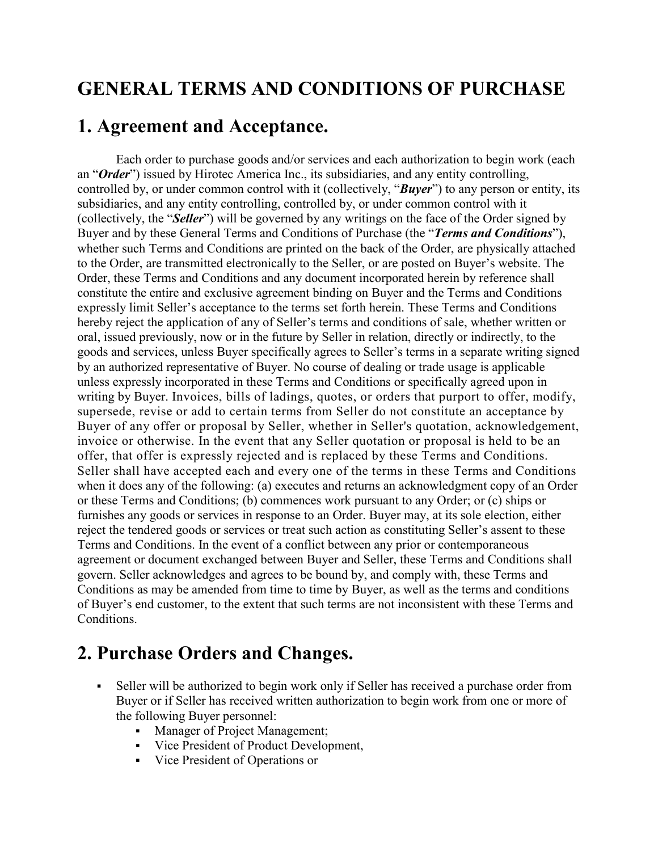### **GENERAL TERMS AND CONDITIONS OF PURCHASE**

#### **1. Agreement and Acceptance.**

Each order to purchase goods and/or services and each authorization to begin work (each an "*Order*") issued by Hirotec America Inc., its subsidiaries, and any entity controlling, controlled by, or under common control with it (collectively, "*Buyer*") to any person or entity, its subsidiaries, and any entity controlling, controlled by, or under common control with it (collectively, the "*Seller*") will be governed by any writings on the face of the Order signed by Buyer and by these General Terms and Conditions of Purchase (the "*Terms and Conditions*"), whether such Terms and Conditions are printed on the back of the Order, are physically attached to the Order, are transmitted electronically to the Seller, or are posted on Buyer's website. The Order, these Terms and Conditions and any document incorporated herein by reference shall constitute the entire and exclusive agreement binding on Buyer and the Terms and Conditions expressly limit Seller's acceptance to the terms set forth herein. These Terms and Conditions hereby reject the application of any of Seller's terms and conditions of sale, whether written or oral, issued previously, now or in the future by Seller in relation, directly or indirectly, to the goods and services, unless Buyer specifically agrees to Seller's terms in a separate writing signed by an authorized representative of Buyer. No course of dealing or trade usage is applicable unless expressly incorporated in these Terms and Conditions or specifically agreed upon in writing by Buyer. Invoices, bills of ladings, quotes, or orders that purport to offer, modify, supersede, revise or add to certain terms from Seller do not constitute an acceptance by Buyer of any offer or proposal by Seller, whether in Seller's quotation, acknowledgement, invoice or otherwise. In the event that any Seller quotation or proposal is held to be an offer, that offer is expressly rejected and is replaced by these Terms and Conditions. Seller shall have accepted each and every one of the terms in these Terms and Conditions when it does any of the following: (a) executes and returns an acknowledgment copy of an Order or these Terms and Conditions; (b) commences work pursuant to any Order; or (c) ships or furnishes any goods or services in response to an Order. Buyer may, at its sole election, either reject the tendered goods or services or treat such action as constituting Seller's assent to these Terms and Conditions. In the event of a conflict between any prior or contemporaneous agreement or document exchanged between Buyer and Seller, these Terms and Conditions shall govern. Seller acknowledges and agrees to be bound by, and comply with, these Terms and Conditions as may be amended from time to time by Buyer, as well as the terms and conditions of Buyer's end customer, to the extent that such terms are not inconsistent with these Terms and **Conditions** 

#### **2. Purchase Orders and Changes.**

- Seller will be authorized to begin work only if Seller has received a purchase order from Buyer or if Seller has received written authorization to begin work from one or more of the following Buyer personnel:
	- Manager of Project Management;
	- Vice President of Product Development,
	- Vice President of Operations or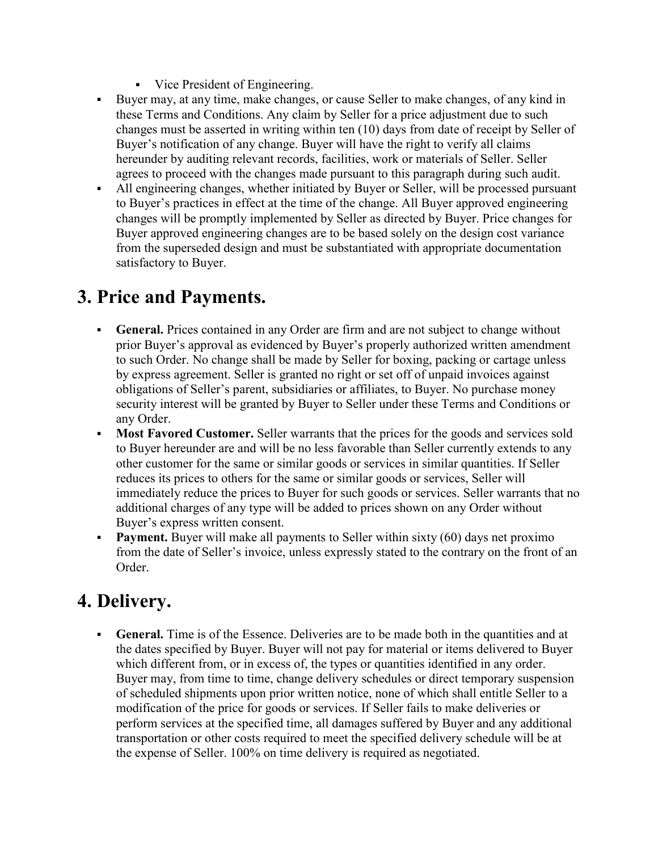- Vice President of Engineering.
- Buyer may, at any time, make changes, or cause Seller to make changes, of any kind in these Terms and Conditions. Any claim by Seller for a price adjustment due to such changes must be asserted in writing within ten (10) days from date of receipt by Seller of Buyer's notification of any change. Buyer will have the right to verify all claims hereunder by auditing relevant records, facilities, work or materials of Seller. Seller agrees to proceed with the changes made pursuant to this paragraph during such audit.
- All engineering changes, whether initiated by Buyer or Seller, will be processed pursuant to Buyer's practices in effect at the time of the change. All Buyer approved engineering changes will be promptly implemented by Seller as directed by Buyer. Price changes for Buyer approved engineering changes are to be based solely on the design cost variance from the superseded design and must be substantiated with appropriate documentation satisfactory to Buyer.

### **3. Price and Payments.**

- **General.** Prices contained in any Order are firm and are not subject to change without prior Buyer's approval as evidenced by Buyer's properly authorized written amendment to such Order. No change shall be made by Seller for boxing, packing or cartage unless by express agreement. Seller is granted no right or set off of unpaid invoices against obligations of Seller's parent, subsidiaries or affiliates, to Buyer. No purchase money security interest will be granted by Buyer to Seller under these Terms and Conditions or any Order.
- **Most Favored Customer.** Seller warrants that the prices for the goods and services sold to Buyer hereunder are and will be no less favorable than Seller currently extends to any other customer for the same or similar goods or services in similar quantities. If Seller reduces its prices to others for the same or similar goods or services, Seller will immediately reduce the prices to Buyer for such goods or services. Seller warrants that no additional charges of any type will be added to prices shown on any Order without Buyer's express written consent.
- **Payment.** Buyer will make all payments to Seller within sixty (60) days net proximo from the date of Seller's invoice, unless expressly stated to the contrary on the front of an Order.

### **4. Delivery.**

 **General.** Time is of the Essence. Deliveries are to be made both in the quantities and at the dates specified by Buyer. Buyer will not pay for material or items delivered to Buyer which different from, or in excess of, the types or quantities identified in any order. Buyer may, from time to time, change delivery schedules or direct temporary suspension of scheduled shipments upon prior written notice, none of which shall entitle Seller to a modification of the price for goods or services. If Seller fails to make deliveries or perform services at the specified time, all damages suffered by Buyer and any additional transportation or other costs required to meet the specified delivery schedule will be at the expense of Seller. 100% on time delivery is required as negotiated.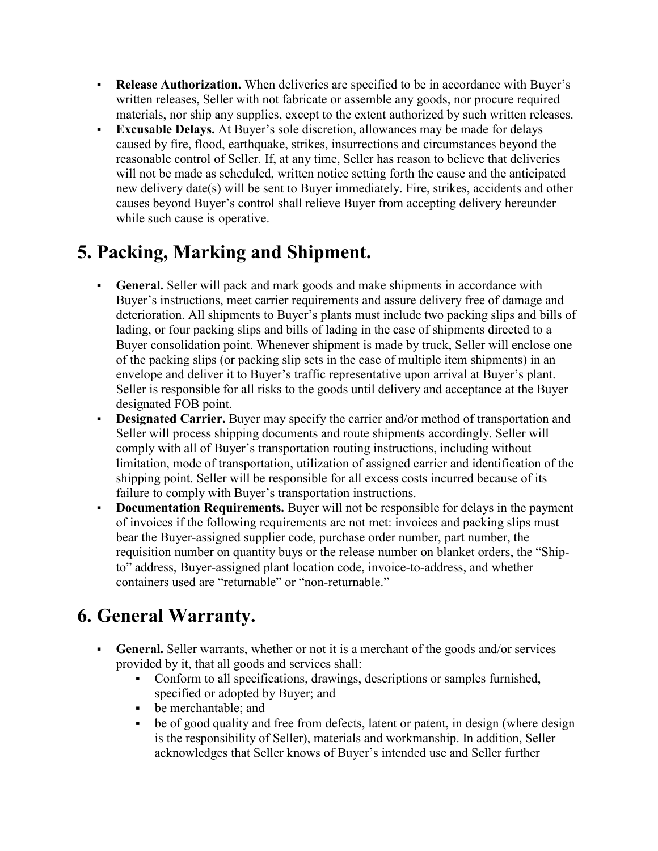- **Release Authorization.** When deliveries are specified to be in accordance with Buyer's written releases, Seller with not fabricate or assemble any goods, nor procure required materials, nor ship any supplies, except to the extent authorized by such written releases.
- **Excusable Delays.** At Buyer's sole discretion, allowances may be made for delays caused by fire, flood, earthquake, strikes, insurrections and circumstances beyond the reasonable control of Seller. If, at any time, Seller has reason to believe that deliveries will not be made as scheduled, written notice setting forth the cause and the anticipated new delivery date(s) will be sent to Buyer immediately. Fire, strikes, accidents and other causes beyond Buyer's control shall relieve Buyer from accepting delivery hereunder while such cause is operative.

### **5. Packing, Marking and Shipment.**

- **General.** Seller will pack and mark goods and make shipments in accordance with Buyer's instructions, meet carrier requirements and assure delivery free of damage and deterioration. All shipments to Buyer's plants must include two packing slips and bills of lading, or four packing slips and bills of lading in the case of shipments directed to a Buyer consolidation point. Whenever shipment is made by truck, Seller will enclose one of the packing slips (or packing slip sets in the case of multiple item shipments) in an envelope and deliver it to Buyer's traffic representative upon arrival at Buyer's plant. Seller is responsible for all risks to the goods until delivery and acceptance at the Buyer designated FOB point.
- **- Designated Carrier.** Buyer may specify the carrier and/or method of transportation and Seller will process shipping documents and route shipments accordingly. Seller will comply with all of Buyer's transportation routing instructions, including without limitation, mode of transportation, utilization of assigned carrier and identification of the shipping point. Seller will be responsible for all excess costs incurred because of its failure to comply with Buyer's transportation instructions.
- **Documentation Requirements.** Buyer will not be responsible for delays in the payment of invoices if the following requirements are not met: invoices and packing slips must bear the Buyer-assigned supplier code, purchase order number, part number, the requisition number on quantity buys or the release number on blanket orders, the "Shipto" address, Buyer-assigned plant location code, invoice-to-address, and whether containers used are "returnable" or "non-returnable."

## **6. General Warranty.**

- **General.** Seller warrants, whether or not it is a merchant of the goods and/or services provided by it, that all goods and services shall:
	- Conform to all specifications, drawings, descriptions or samples furnished, specified or adopted by Buyer; and
	- be merchantable; and
	- be of good quality and free from defects, latent or patent, in design (where design is the responsibility of Seller), materials and workmanship. In addition, Seller acknowledges that Seller knows of Buyer's intended use and Seller further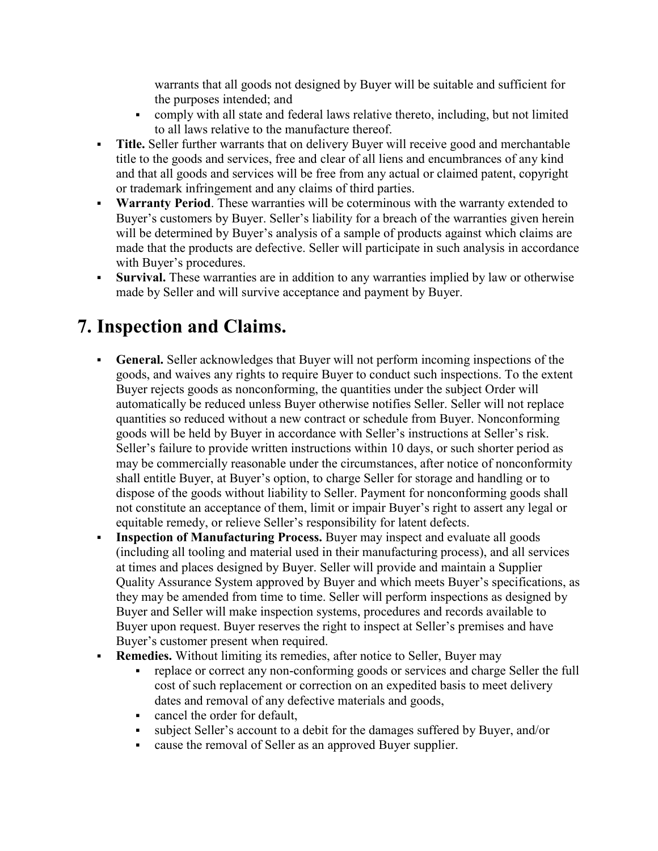warrants that all goods not designed by Buyer will be suitable and sufficient for the purposes intended; and

- comply with all state and federal laws relative thereto, including, but not limited to all laws relative to the manufacture thereof.
- **Title.** Seller further warrants that on delivery Buyer will receive good and merchantable title to the goods and services, free and clear of all liens and encumbrances of any kind and that all goods and services will be free from any actual or claimed patent, copyright or trademark infringement and any claims of third parties.
- **Warranty Period**. These warranties will be coterminous with the warranty extended to Buyer's customers by Buyer. Seller's liability for a breach of the warranties given herein will be determined by Buyer's analysis of a sample of products against which claims are made that the products are defective. Seller will participate in such analysis in accordance with Buyer's procedures.
- **Survival.** These warranties are in addition to any warranties implied by law or otherwise made by Seller and will survive acceptance and payment by Buyer.

### **7. Inspection and Claims.**

- **General.** Seller acknowledges that Buyer will not perform incoming inspections of the goods, and waives any rights to require Buyer to conduct such inspections. To the extent Buyer rejects goods as nonconforming, the quantities under the subject Order will automatically be reduced unless Buyer otherwise notifies Seller. Seller will not replace quantities so reduced without a new contract or schedule from Buyer. Nonconforming goods will be held by Buyer in accordance with Seller's instructions at Seller's risk. Seller's failure to provide written instructions within 10 days, or such shorter period as may be commercially reasonable under the circumstances, after notice of nonconformity shall entitle Buyer, at Buyer's option, to charge Seller for storage and handling or to dispose of the goods without liability to Seller. Payment for nonconforming goods shall not constitute an acceptance of them, limit or impair Buyer's right to assert any legal or equitable remedy, or relieve Seller's responsibility for latent defects.
- **Inspection of Manufacturing Process.** Buyer may inspect and evaluate all goods (including all tooling and material used in their manufacturing process), and all services at times and places designed by Buyer. Seller will provide and maintain a Supplier Quality Assurance System approved by Buyer and which meets Buyer's specifications, as they may be amended from time to time. Seller will perform inspections as designed by Buyer and Seller will make inspection systems, procedures and records available to Buyer upon request. Buyer reserves the right to inspect at Seller's premises and have Buyer's customer present when required.
- **Remedies.** Without limiting its remedies, after notice to Seller, Buyer may
	- replace or correct any non-conforming goods or services and charge Seller the full cost of such replacement or correction on an expedited basis to meet delivery dates and removal of any defective materials and goods,
	- cancel the order for default,
	- subject Seller's account to a debit for the damages suffered by Buyer, and/or
	- cause the removal of Seller as an approved Buyer supplier.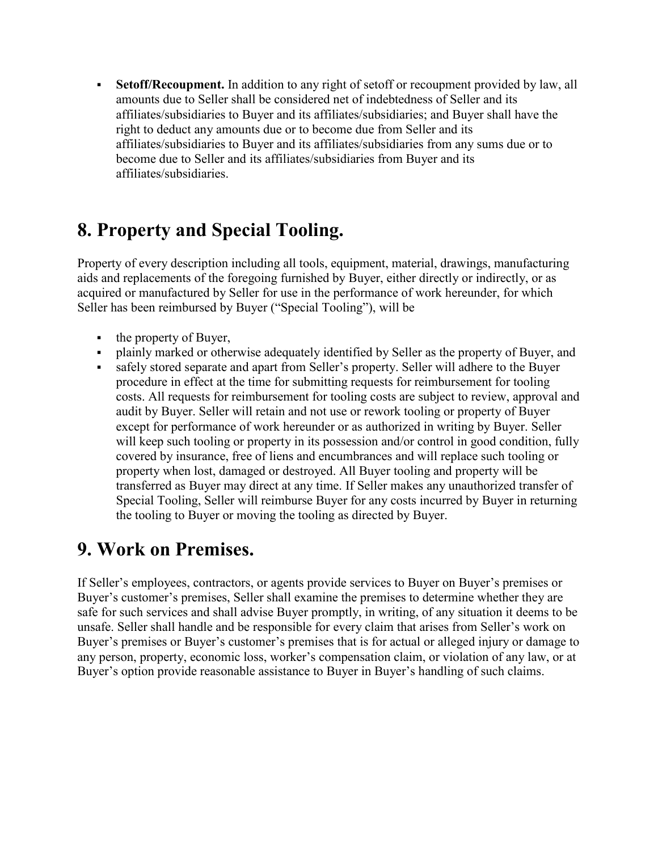**Setoff/Recoupment.** In addition to any right of setoff or recoupment provided by law, all amounts due to Seller shall be considered net of indebtedness of Seller and its affiliates/subsidiaries to Buyer and its affiliates/subsidiaries; and Buyer shall have the right to deduct any amounts due or to become due from Seller and its affiliates/subsidiaries to Buyer and its affiliates/subsidiaries from any sums due or to become due to Seller and its affiliates/subsidiaries from Buyer and its affiliates/subsidiaries.

### **8. Property and Special Tooling.**

Property of every description including all tools, equipment, material, drawings, manufacturing aids and replacements of the foregoing furnished by Buyer, either directly or indirectly, or as acquired or manufactured by Seller for use in the performance of work hereunder, for which Seller has been reimbursed by Buyer ("Special Tooling"), will be

- the property of Buyer,
- plainly marked or otherwise adequately identified by Seller as the property of Buyer, and
- safely stored separate and apart from Seller's property. Seller will adhere to the Buyer procedure in effect at the time for submitting requests for reimbursement for tooling costs. All requests for reimbursement for tooling costs are subject to review, approval and audit by Buyer. Seller will retain and not use or rework tooling or property of Buyer except for performance of work hereunder or as authorized in writing by Buyer. Seller will keep such tooling or property in its possession and/or control in good condition, fully covered by insurance, free of liens and encumbrances and will replace such tooling or property when lost, damaged or destroyed. All Buyer tooling and property will be transferred as Buyer may direct at any time. If Seller makes any unauthorized transfer of Special Tooling, Seller will reimburse Buyer for any costs incurred by Buyer in returning the tooling to Buyer or moving the tooling as directed by Buyer.

### **9. Work on Premises.**

If Seller's employees, contractors, or agents provide services to Buyer on Buyer's premises or Buyer's customer's premises, Seller shall examine the premises to determine whether they are safe for such services and shall advise Buyer promptly, in writing, of any situation it deems to be unsafe. Seller shall handle and be responsible for every claim that arises from Seller's work on Buyer's premises or Buyer's customer's premises that is for actual or alleged injury or damage to any person, property, economic loss, worker's compensation claim, or violation of any law, or at Buyer's option provide reasonable assistance to Buyer in Buyer's handling of such claims.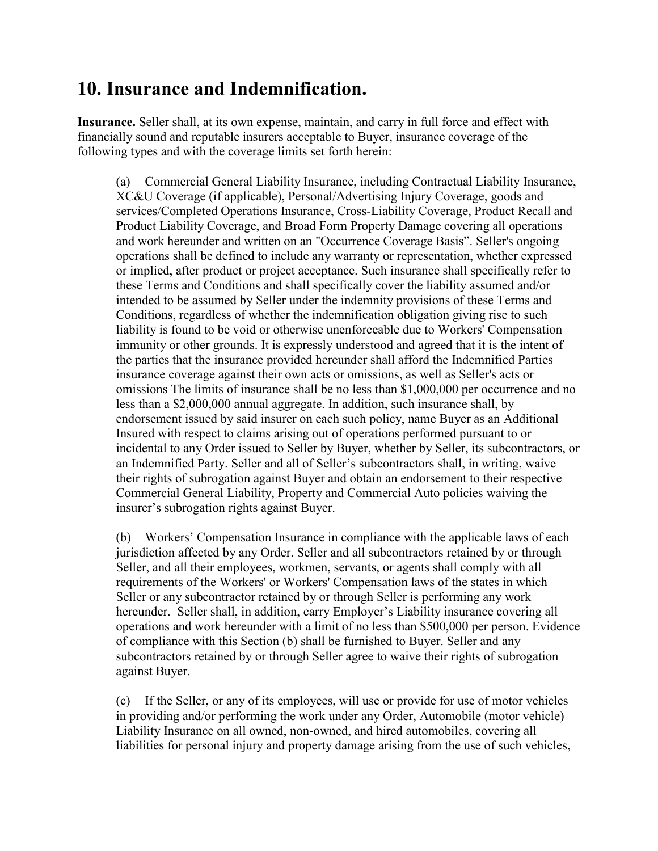### **10. Insurance and Indemnification.**

**Insurance.** Seller shall, at its own expense, maintain, and carry in full force and effect with financially sound and reputable insurers acceptable to Buyer, insurance coverage of the following types and with the coverage limits set forth herein:

(a) Commercial General Liability Insurance, including Contractual Liability Insurance, XC&U Coverage (if applicable), Personal/Advertising Injury Coverage, goods and services/Completed Operations Insurance, Cross-Liability Coverage, Product Recall and Product Liability Coverage, and Broad Form Property Damage covering all operations and work hereunder and written on an "Occurrence Coverage Basis". Seller's ongoing operations shall be defined to include any warranty or representation, whether expressed or implied, after product or project acceptance. Such insurance shall specifically refer to these Terms and Conditions and shall specifically cover the liability assumed and/or intended to be assumed by Seller under the indemnity provisions of these Terms and Conditions, regardless of whether the indemnification obligation giving rise to such liability is found to be void or otherwise unenforceable due to Workers' Compensation immunity or other grounds. It is expressly understood and agreed that it is the intent of the parties that the insurance provided hereunder shall afford the Indemnified Parties insurance coverage against their own acts or omissions, as well as Seller's acts or omissions The limits of insurance shall be no less than \$1,000,000 per occurrence and no less than a \$2,000,000 annual aggregate. In addition, such insurance shall, by endorsement issued by said insurer on each such policy, name Buyer as an Additional Insured with respect to claims arising out of operations performed pursuant to or incidental to any Order issued to Seller by Buyer, whether by Seller, its subcontractors, or an Indemnified Party. Seller and all of Seller's subcontractors shall, in writing, waive their rights of subrogation against Buyer and obtain an endorsement to their respective Commercial General Liability, Property and Commercial Auto policies waiving the insurer's subrogation rights against Buyer.

(b) Workers' Compensation Insurance in compliance with the applicable laws of each jurisdiction affected by any Order. Seller and all subcontractors retained by or through Seller, and all their employees, workmen, servants, or agents shall comply with all requirements of the Workers' or Workers' Compensation laws of the states in which Seller or any subcontractor retained by or through Seller is performing any work hereunder. Seller shall, in addition, carry Employer's Liability insurance covering all operations and work hereunder with a limit of no less than \$500,000 per person. Evidence of compliance with this Section (b) shall be furnished to Buyer. Seller and any subcontractors retained by or through Seller agree to waive their rights of subrogation against Buyer.

(c) If the Seller, or any of its employees, will use or provide for use of motor vehicles in providing and/or performing the work under any Order, Automobile (motor vehicle) Liability Insurance on all owned, non-owned, and hired automobiles, covering all liabilities for personal injury and property damage arising from the use of such vehicles,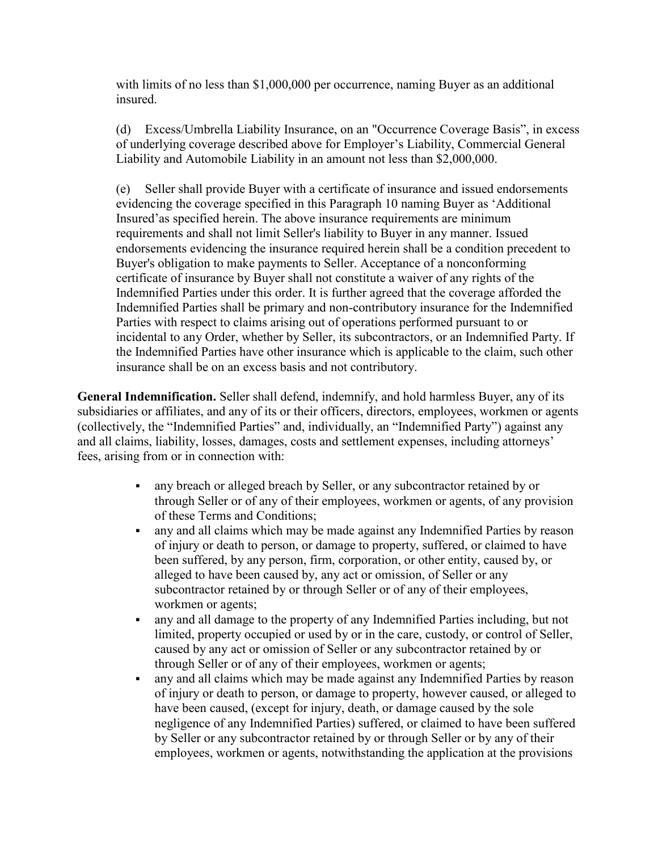with limits of no less than \$1,000,000 per occurrence, naming Buyer as an additional insured.

(d) Excess/Umbrella Liability Insurance, on an "Occurrence Coverage Basis", in excess of underlying coverage described above for Employer's Liability, Commercial General Liability and Automobile Liability in an amount not less than \$2,000,000.

(e) Seller shall provide Buyer with a certificate of insurance and issued endorsements evidencing the coverage specified in this Paragraph 10 naming Buyer as 'Additional Insured'as specified herein. The above insurance requirements are minimum requirements and shall not limit Seller's liability to Buyer in any manner. Issued endorsements evidencing the insurance required herein shall be a condition precedent to Buyer's obligation to make payments to Seller. Acceptance of a nonconforming certificate of insurance by Buyer shall not constitute a waiver of any rights of the Indemnified Parties under this order. It is further agreed that the coverage afforded the Indemnified Parties shall be primary and non-contributory insurance for the Indemnified Parties with respect to claims arising out of operations performed pursuant to or incidental to any Order, whether by Seller, its subcontractors, or an Indemnified Party. If the Indemnified Parties have other insurance which is applicable to the claim, such other insurance shall be on an excess basis and not contributory.

**General Indemnification.** Seller shall defend, indemnify, and hold harmless Buyer, any of its subsidiaries or affiliates, and any of its or their officers, directors, employees, workmen or agents (collectively, the "Indemnified Parties" and, individually, an "Indemnified Party") against any and all claims, liability, losses, damages, costs and settlement expenses, including attorneys' fees, arising from or in connection with:

- any breach or alleged breach by Seller, or any subcontractor retained by or through Seller or of any of their employees, workmen or agents, of any provision of these Terms and Conditions;
- any and all claims which may be made against any Indemnified Parties by reason of injury or death to person, or damage to property, suffered, or claimed to have been suffered, by any person, firm, corporation, or other entity, caused by, or alleged to have been caused by, any act or omission, of Seller or any subcontractor retained by or through Seller or of any of their employees, workmen or agents;
- any and all damage to the property of any Indemnified Parties including, but not limited, property occupied or used by or in the care, custody, or control of Seller, caused by any act or omission of Seller or any subcontractor retained by or through Seller or of any of their employees, workmen or agents;
- any and all claims which may be made against any Indemnified Parties by reason of injury or death to person, or damage to property, however caused, or alleged to have been caused, (except for injury, death, or damage caused by the sole negligence of any Indemnified Parties) suffered, or claimed to have been suffered by Seller or any subcontractor retained by or through Seller or by any of their employees, workmen or agents, notwithstanding the application at the provisions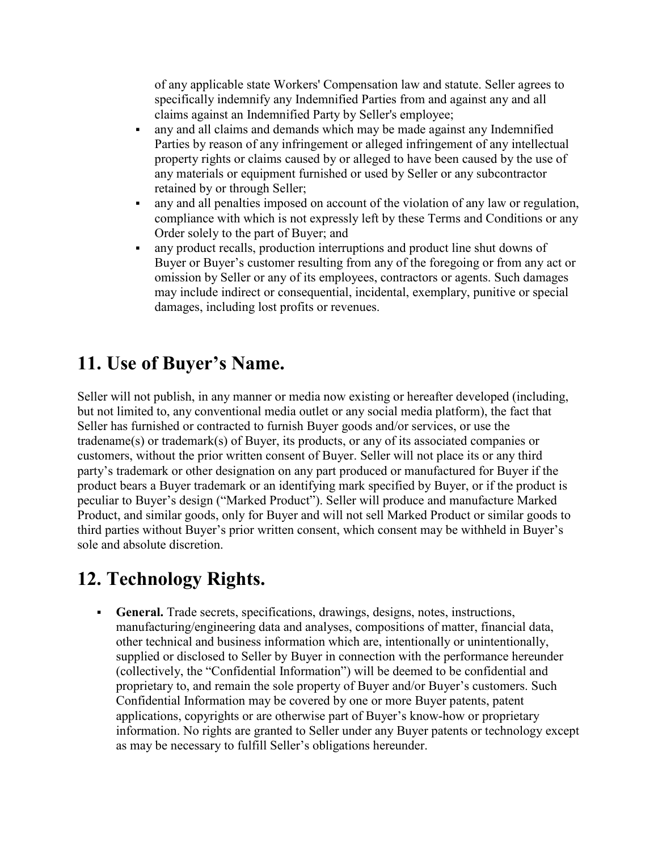of any applicable state Workers' Compensation law and statute. Seller agrees to specifically indemnify any Indemnified Parties from and against any and all claims against an Indemnified Party by Seller's employee;

- any and all claims and demands which may be made against any Indemnified Parties by reason of any infringement or alleged infringement of any intellectual property rights or claims caused by or alleged to have been caused by the use of any materials or equipment furnished or used by Seller or any subcontractor retained by or through Seller;
- any and all penalties imposed on account of the violation of any law or regulation, compliance with which is not expressly left by these Terms and Conditions or any Order solely to the part of Buyer; and
- any product recalls, production interruptions and product line shut downs of Buyer or Buyer's customer resulting from any of the foregoing or from any act or omission by Seller or any of its employees, contractors or agents. Such damages may include indirect or consequential, incidental, exemplary, punitive or special damages, including lost profits or revenues.

### **11. Use of Buyer's Name.**

Seller will not publish, in any manner or media now existing or hereafter developed (including, but not limited to, any conventional media outlet or any social media platform), the fact that Seller has furnished or contracted to furnish Buyer goods and/or services, or use the tradename(s) or trademark(s) of Buyer, its products, or any of its associated companies or customers, without the prior written consent of Buyer. Seller will not place its or any third party's trademark or other designation on any part produced or manufactured for Buyer if the product bears a Buyer trademark or an identifying mark specified by Buyer, or if the product is peculiar to Buyer's design ("Marked Product"). Seller will produce and manufacture Marked Product, and similar goods, only for Buyer and will not sell Marked Product or similar goods to third parties without Buyer's prior written consent, which consent may be withheld in Buyer's sole and absolute discretion.

## **12. Technology Rights.**

 **General.** Trade secrets, specifications, drawings, designs, notes, instructions, manufacturing/engineering data and analyses, compositions of matter, financial data, other technical and business information which are, intentionally or unintentionally, supplied or disclosed to Seller by Buyer in connection with the performance hereunder (collectively, the "Confidential Information") will be deemed to be confidential and proprietary to, and remain the sole property of Buyer and/or Buyer's customers. Such Confidential Information may be covered by one or more Buyer patents, patent applications, copyrights or are otherwise part of Buyer's know-how or proprietary information. No rights are granted to Seller under any Buyer patents or technology except as may be necessary to fulfill Seller's obligations hereunder.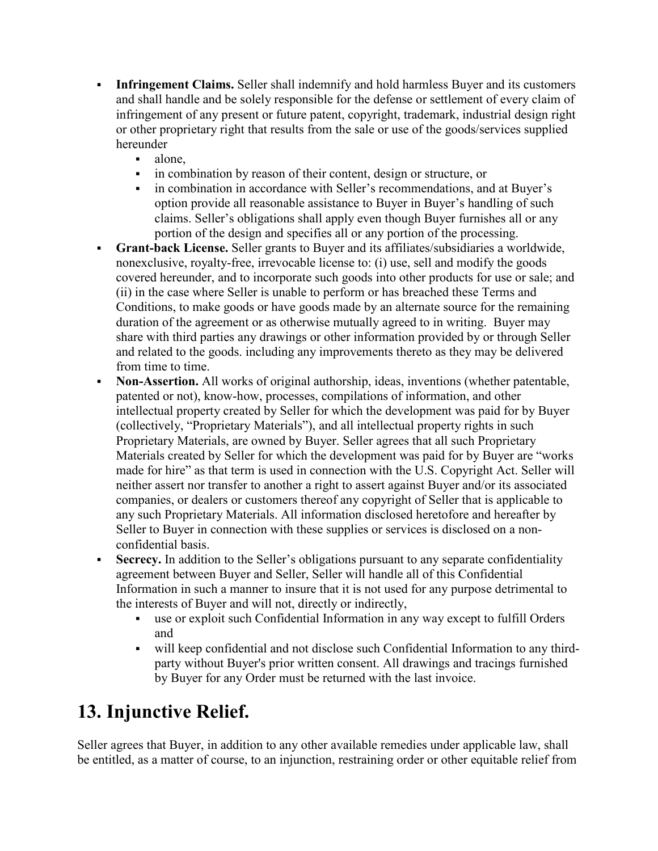- **Infringement Claims.** Seller shall indemnify and hold harmless Buyer and its customers and shall handle and be solely responsible for the defense or settlement of every claim of infringement of any present or future patent, copyright, trademark, industrial design right or other proprietary right that results from the sale or use of the goods/services supplied hereunder
	- alone.
	- in combination by reason of their content, design or structure, or
	- in combination in accordance with Seller's recommendations, and at Buyer's option provide all reasonable assistance to Buyer in Buyer's handling of such claims. Seller's obligations shall apply even though Buyer furnishes all or any portion of the design and specifies all or any portion of the processing.
- **Grant-back License.** Seller grants to Buyer and its affiliates/subsidiaries a worldwide, nonexclusive, royalty-free, irrevocable license to: (i) use, sell and modify the goods covered hereunder, and to incorporate such goods into other products for use or sale; and (ii) in the case where Seller is unable to perform or has breached these Terms and Conditions, to make goods or have goods made by an alternate source for the remaining duration of the agreement or as otherwise mutually agreed to in writing. Buyer may share with third parties any drawings or other information provided by or through Seller and related to the goods. including any improvements thereto as they may be delivered from time to time.
- **Non-Assertion.** All works of original authorship, ideas, inventions (whether patentable, patented or not), know-how, processes, compilations of information, and other intellectual property created by Seller for which the development was paid for by Buyer (collectively, "Proprietary Materials"), and all intellectual property rights in such Proprietary Materials, are owned by Buyer. Seller agrees that all such Proprietary Materials created by Seller for which the development was paid for by Buyer are "works made for hire" as that term is used in connection with the U.S. Copyright Act. Seller will neither assert nor transfer to another a right to assert against Buyer and/or its associated companies, or dealers or customers thereof any copyright of Seller that is applicable to any such Proprietary Materials. All information disclosed heretofore and hereafter by Seller to Buyer in connection with these supplies or services is disclosed on a nonconfidential basis.
- **Secrecy.** In addition to the Seller's obligations pursuant to any separate confidentiality agreement between Buyer and Seller, Seller will handle all of this Confidential Information in such a manner to insure that it is not used for any purpose detrimental to the interests of Buyer and will not, directly or indirectly,
	- use or exploit such Confidential Information in any way except to fulfill Orders and
	- will keep confidential and not disclose such Confidential Information to any thirdparty without Buyer's prior written consent. All drawings and tracings furnished by Buyer for any Order must be returned with the last invoice.

## **13. Injunctive Relief.**

Seller agrees that Buyer, in addition to any other available remedies under applicable law, shall be entitled, as a matter of course, to an injunction, restraining order or other equitable relief from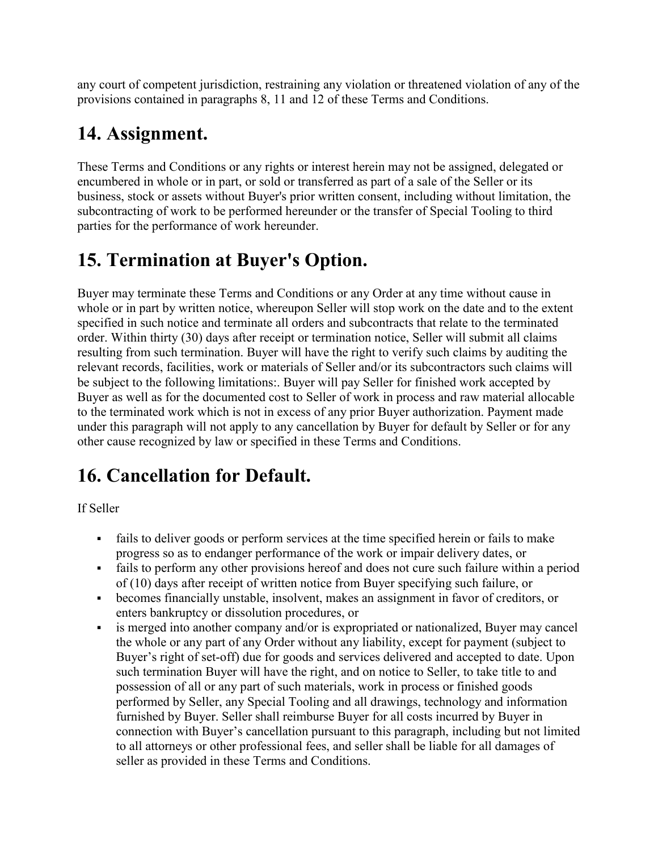any court of competent jurisdiction, restraining any violation or threatened violation of any of the provisions contained in paragraphs 8, 11 and 12 of these Terms and Conditions.

## **14. Assignment.**

These Terms and Conditions or any rights or interest herein may not be assigned, delegated or encumbered in whole or in part, or sold or transferred as part of a sale of the Seller or its business, stock or assets without Buyer's prior written consent, including without limitation, the subcontracting of work to be performed hereunder or the transfer of Special Tooling to third parties for the performance of work hereunder.

## **15. Termination at Buyer's Option.**

Buyer may terminate these Terms and Conditions or any Order at any time without cause in whole or in part by written notice, whereupon Seller will stop work on the date and to the extent specified in such notice and terminate all orders and subcontracts that relate to the terminated order. Within thirty (30) days after receipt or termination notice, Seller will submit all claims resulting from such termination. Buyer will have the right to verify such claims by auditing the relevant records, facilities, work or materials of Seller and/or its subcontractors such claims will be subject to the following limitations:. Buyer will pay Seller for finished work accepted by Buyer as well as for the documented cost to Seller of work in process and raw material allocable to the terminated work which is not in excess of any prior Buyer authorization. Payment made under this paragraph will not apply to any cancellation by Buyer for default by Seller or for any other cause recognized by law or specified in these Terms and Conditions.

# **16. Cancellation for Default.**

If Seller

- fails to deliver goods or perform services at the time specified herein or fails to make progress so as to endanger performance of the work or impair delivery dates, or
- fails to perform any other provisions hereof and does not cure such failure within a period of (10) days after receipt of written notice from Buyer specifying such failure, or
- becomes financially unstable, insolvent, makes an assignment in favor of creditors, or enters bankruptcy or dissolution procedures, or
- is merged into another company and/or is expropriated or nationalized, Buyer may cancel the whole or any part of any Order without any liability, except for payment (subject to Buyer's right of set-off) due for goods and services delivered and accepted to date. Upon such termination Buyer will have the right, and on notice to Seller, to take title to and possession of all or any part of such materials, work in process or finished goods performed by Seller, any Special Tooling and all drawings, technology and information furnished by Buyer. Seller shall reimburse Buyer for all costs incurred by Buyer in connection with Buyer's cancellation pursuant to this paragraph, including but not limited to all attorneys or other professional fees, and seller shall be liable for all damages of seller as provided in these Terms and Conditions.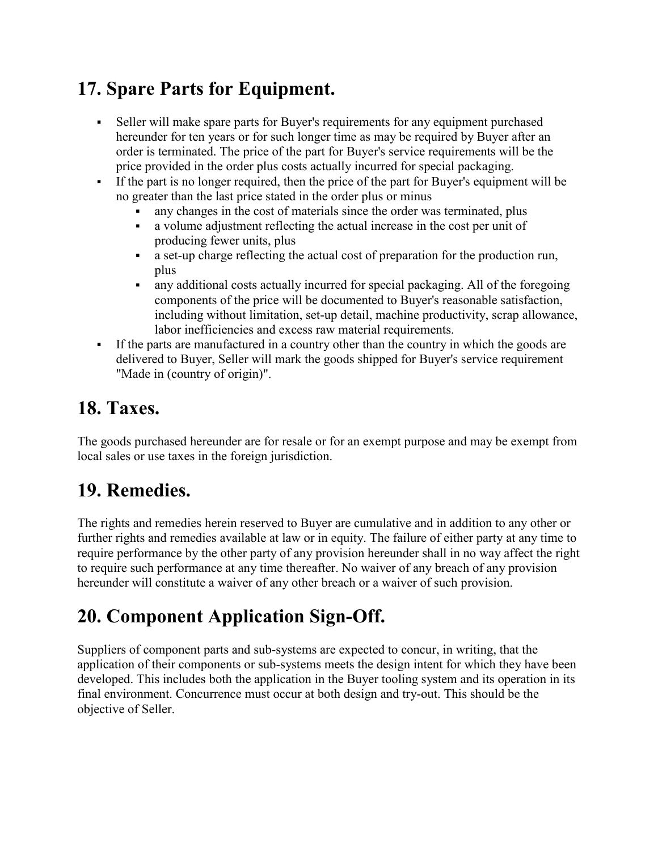## **17. Spare Parts for Equipment.**

- Seller will make spare parts for Buyer's requirements for any equipment purchased hereunder for ten years or for such longer time as may be required by Buyer after an order is terminated. The price of the part for Buyer's service requirements will be the price provided in the order plus costs actually incurred for special packaging.
- If the part is no longer required, then the price of the part for Buyer's equipment will be no greater than the last price stated in the order plus or minus
	- any changes in the cost of materials since the order was terminated, plus
	- a volume adjustment reflecting the actual increase in the cost per unit of producing fewer units, plus
	- a set-up charge reflecting the actual cost of preparation for the production run, plus
	- any additional costs actually incurred for special packaging. All of the foregoing components of the price will be documented to Buyer's reasonable satisfaction, including without limitation, set-up detail, machine productivity, scrap allowance, labor inefficiencies and excess raw material requirements.
- If the parts are manufactured in a country other than the country in which the goods are delivered to Buyer, Seller will mark the goods shipped for Buyer's service requirement "Made in (country of origin)".

### **18. Taxes.**

The goods purchased hereunder are for resale or for an exempt purpose and may be exempt from local sales or use taxes in the foreign jurisdiction.

## **19. Remedies.**

The rights and remedies herein reserved to Buyer are cumulative and in addition to any other or further rights and remedies available at law or in equity. The failure of either party at any time to require performance by the other party of any provision hereunder shall in no way affect the right to require such performance at any time thereafter. No waiver of any breach of any provision hereunder will constitute a waiver of any other breach or a waiver of such provision.

## **20. Component Application Sign-Off.**

Suppliers of component parts and sub-systems are expected to concur, in writing, that the application of their components or sub-systems meets the design intent for which they have been developed. This includes both the application in the Buyer tooling system and its operation in its final environment. Concurrence must occur at both design and try-out. This should be the objective of Seller.